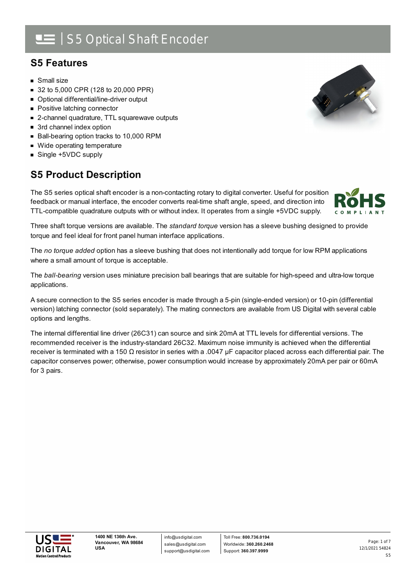# | S5 Optical Shaft Encoder

### **S5 Features**

- **Small size**
- 32 to 5,000 CPR (128 to 20,000 PPR)
- Optional differential/line-driver output
- **Positive latching connector**
- 2-channel quadrature, TTL squarewave outputs
- 3rd channel index option
- Ball-bearing option tracks to 10,000 RPM
- Wide operating temperature
- Single +5VDC supply

### **S5 Product Description**

The S5 series optical shaft encoder is a non-contacting rotary to digital converter. Useful for position feedback or manual interface, the encoder converts real-time shaft angle, speed, and direction into TTL-compatible quadrature outputs with or without index. It operates from a single +5VDC supply.

Three shaft torque versions are available. The *standard torque* version has a sleeve bushing designed to provide torque and feel ideal for front panel human interface applications.

The *no torque added* option has a sleeve bushing that does not intentionally add torque for low RPM applications where a small amount of torque is acceptable.

The *ball-bearing* version uses miniature precision ball bearings that are suitable for high-speed and ultra-low torque applications.

A secure connection to the S5 series encoder is made through a 5-pin (single-ended version) or 10-pin (differential version) latching connector (sold separately). The mating connectors are available from US Digital with several cable options and lengths.

The internal differential line driver (26C31) can source and sink 20mA at TTL levels for differential versions. The recommended receiver is the industry-standard 26C32. Maximum noise immunity is achieved when the differential receiver is terminated with a 150 Ω resistor in series with a .0047 μF capacitor placed across each differential pair. The capacitor conserves power; otherwise, power consumption would increase by approximately 20mA per pair or 60mA for 3 pairs.



info@usdigital.com sales@usdigital.com support@usdigital.com



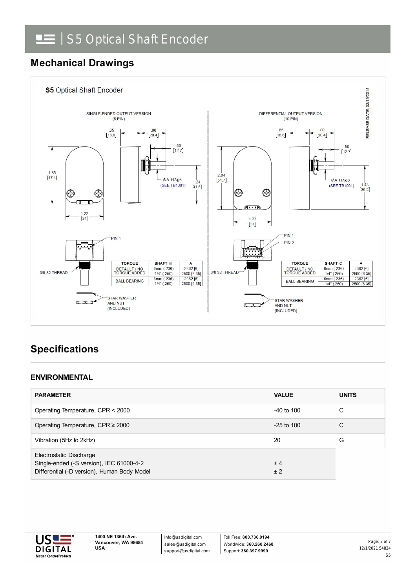# **Mechanical Drawings**



## **Specifications**

#### **ENVIRONMENTAL**

| <b>PARAMETER</b>                                                                                                   | <b>VALUE</b>   | <b>UNITS</b> |
|--------------------------------------------------------------------------------------------------------------------|----------------|--------------|
| Operating Temperature, CPR < 2000                                                                                  | $-40$ to $100$ | C            |
| Operating Temperature, CPR $\geq$ 2000                                                                             | $-25$ to 100   | C            |
| Vibration (5Hz to 2kHz)                                                                                            | 20             | G            |
| Electrostatic Discharge<br>Single-ended (-S version), IEC 61000-4-2<br>Differential (-D version), Human Body Model | ±4<br>± 2      |              |

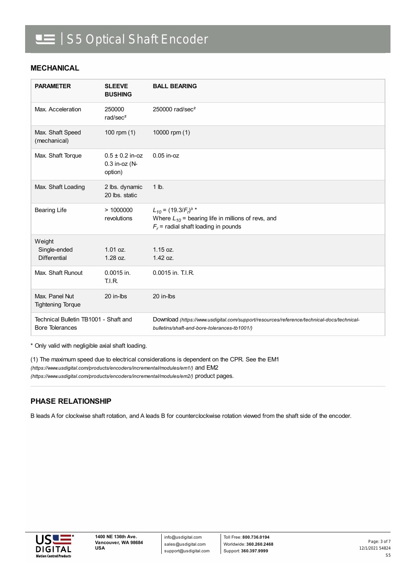#### **MECHANICAL**

| <b>PARAMETER</b>                                                | <b>SLEEVE</b><br><b>BUSHING</b>                   | <b>BALL BEARING</b>                                                                                                                       |
|-----------------------------------------------------------------|---------------------------------------------------|-------------------------------------------------------------------------------------------------------------------------------------------|
| Max. Acceleration                                               | 250000<br>rad/sec <sup>2</sup>                    | 250000 rad/sec <sup>2</sup>                                                                                                               |
| Max. Shaft Speed<br>(mechanical)                                | 100 rpm $(1)$                                     | 10000 rpm (1)                                                                                                                             |
| Max. Shaft Torque                                               | $0.5 \pm 0.2$ in-oz<br>$0.3$ in-oz (N-<br>option) | $0.05$ in-oz                                                                                                                              |
| Max. Shaft Loading                                              | 2 lbs. dynamic<br>20 lbs. static                  | 1 lb.                                                                                                                                     |
| <b>Bearing Life</b>                                             | >1000000<br>revolutions                           | $L_{10} = (19.3/F_r)^{3}$ *<br>Where $L_{10}$ = bearing life in millions of revs, and<br>$F_r$ = radial shaft loading in pounds           |
| Weight<br>Single-ended<br><b>Differential</b>                   | 1.01 oz.<br>$1.28$ oz.                            | 1.15 oz.<br>$1.42$ oz.                                                                                                                    |
| Max. Shaft Runout                                               | 0.0015 in.<br>TLIR.                               | 0.0015 in. T.I.R.                                                                                                                         |
| Max. Panel Nut<br><b>Tightening Torque</b>                      | 20 in-lbs                                         | 20 in-lbs                                                                                                                                 |
| Technical Bulletin TB1001 - Shaft and<br><b>Bore Tolerances</b> |                                                   | Download (https://www.usdigital.com/support/resources/reference/technical-docs/technical-<br>bulletins/shaft-and-bore-tolerances-tb1001/) |

\* Only valid with negligible axial shaft loading.

(1) The maximum speed due to electrical considerations is dependent on the CPR. See the EM1 *(https://www.usdigital.com/products/encoders/incremental/modules/em1/)* and EM2 *(https://www.usdigital.com/products/encoders/incremental/modules/em2/)* product pages.

#### **PHASE RELATIONSHIP**

B leads A for clockwise shaft rotation, and A leads B for counterclockwise rotation viewed from the shaft side of the encoder.

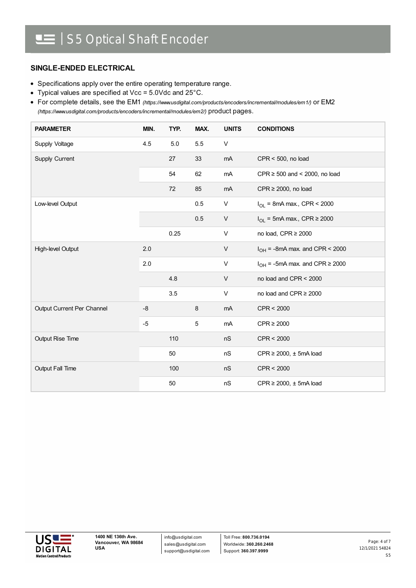#### **SINGLE-ENDED ELECTRICAL**

- Specifications apply over the entire operating temperature range.
- Typical values are specified at Vcc = 5.0Vdc and 25°C.

For complete details, see the EM1 *[\(https://www.usdigital.com/products/encoders/incremental/modules/em1/\)](https://www.usdigital.com/products/encoders/incremental/modules/em1/)* or EM2 *(https://www.usdigital.com/products/encoders/incremental/modules/em2/)* product pages.

| <b>PARAMETER</b>           | MIN. | TYP. | MAX. | <b>UNITS</b> | <b>CONDITIONS</b>                        |
|----------------------------|------|------|------|--------------|------------------------------------------|
| Supply Voltage             | 4.5  | 5.0  | 5.5  | V            |                                          |
| Supply Current             |      | 27   | 33   | mA           | $CPR < 500$ , no load                    |
|                            |      | 54   | 62   | mA           | CPR $\geq$ 500 and < 2000, no load       |
|                            |      | 72   | 85   | mA           | $CPR \ge 2000$ , no load                 |
| Low-level Output           |      |      | 0.5  | V            | $I_{OL}$ = 8mA max., CPR < 2000          |
|                            |      |      | 0.5  | V            | $I_{OL}$ = 5mA max., CPR $\geq$ 2000     |
|                            |      | 0.25 |      | V            | no load, CPR ≥ 2000                      |
| High-level Output          | 2.0  |      |      | V            | $I_{OH}$ = -8mA max. and CPR < 2000      |
|                            | 2.0  |      |      | V            | $I_{OH}$ = -5mA max. and CPR $\geq$ 2000 |
|                            |      | 4.8  |      | $\vee$       | no load and CPR < 2000                   |
|                            |      | 3.5  |      | V            | no load and CPR $\geq$ 2000              |
| Output Current Per Channel | $-8$ |      | 8    | mA           | CPR < 2000                               |
|                            | $-5$ |      | 5    | mA           | $CPR \geq 2000$                          |
| <b>Output Rise Time</b>    |      | 110  |      | nS           | CPR < 2000                               |
|                            |      | 50   |      | nS           | $CPR \ge 2000$ , $\pm$ 5mA load          |
| Output Fall Time           |      | 100  |      | nS           | CPR < 2000                               |
|                            |      | 50   |      | nS           | $CPR \ge 2000$ , $\pm$ 5mA load          |



info@usdigital.com sales@usdigital.com support@usdigital.com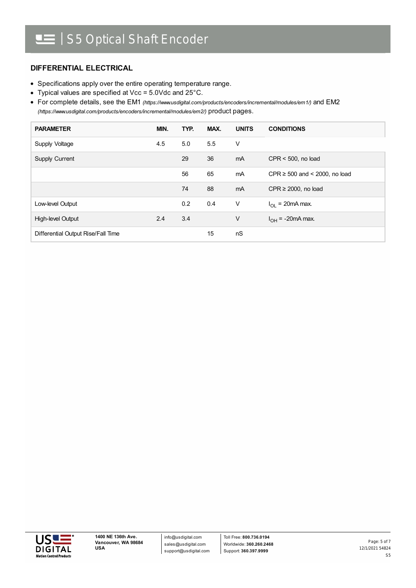#### **DIFFERENTIAL ELECTRICAL**

- Specifications apply over the entire operating temperature range.
- Typical values are specified at Vcc = 5.0Vdc and 25°C.

For complete details, see the EM1 *[\(https://www.usdigital.com/products/encoders/incremental/modules/em1/\)](https://www.usdigital.com/products/encoders/incremental/modules/em1/)* and EM2 *(https://www.usdigital.com/products/encoders/incremental/modules/em2/)* product pages.

| <b>PARAMETER</b>                   | MIN. | TYP. | MAX. | <b>UNITS</b>   | <b>CONDITIONS</b>                  |
|------------------------------------|------|------|------|----------------|------------------------------------|
| Supply Voltage                     | 4.5  | 5.0  | 5.5  | V              |                                    |
| <b>Supply Current</b>              |      | 29   | 36   | m <sub>A</sub> | $CPR < 500$ , no load              |
|                                    |      | 56   | 65   | mA             | CPR $\geq$ 500 and < 2000, no load |
|                                    |      | 74   | 88   | m <sub>A</sub> | CPR $\geq$ 2000, no load           |
| Low-level Output                   |      | 0.2  | 0.4  | V              | $I_{\Omega}$ = 20mA max.           |
| High-level Output                  | 2.4  | 3.4  |      | $\vee$         | $I_{OH}$ = -20mA max.              |
| Differential Output Rise/Fall Time |      |      | 15   | nS             |                                    |

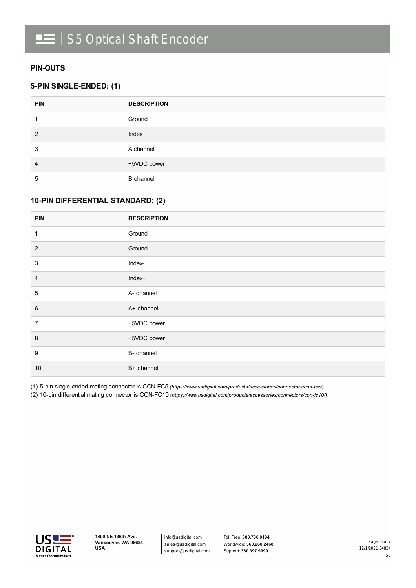#### **PIN-OUTS**

#### **5-PIN SINGLE-ENDED: (1)**

| <b>PIN</b> | <b>DESCRIPTION</b> |
|------------|--------------------|
|            | Ground             |
| 2          | Index              |
| 3          | A channel          |
| 4          | +5VDC power        |
| 5          | <b>B</b> channel   |

#### **10-PIN DIFFERENTIAL STANDARD: (2)**

| <b>PIN</b>                | <b>DESCRIPTION</b> |
|---------------------------|--------------------|
| 1                         | Ground             |
| $\overline{2}$            | Ground             |
| $\ensuremath{\mathsf{3}}$ | Index-             |
| $\overline{\mathbf{4}}$   | Index+             |
| $\sqrt{5}$                | A- channel         |
| $\,6$                     | A+ channel         |
| $\overline{7}$            | +5VDC power        |
| $\,8\,$                   | +5VDC power        |
| $\boldsymbol{9}$          | B- channel         |
| $10$                      | B+ channel         |

(1) 5-pin single-ended mating connector is CON-FC5 *[\(https://www.usdigital.com/products/accessories/connectors/con-fc5/\)](https://www.usdigital.com/products/accessories/connectors/con-fc5/)*.

(2) 10-pin differential mating connector is CON-FC10 *[\(https://www.usdigital.com/products/accessories/connectors/con-fc10/\)](https://www.usdigital.com/products/accessories/connectors/con-fc10/)*.



info@usdigital.com sales@usdigital.com support@usdigital.com